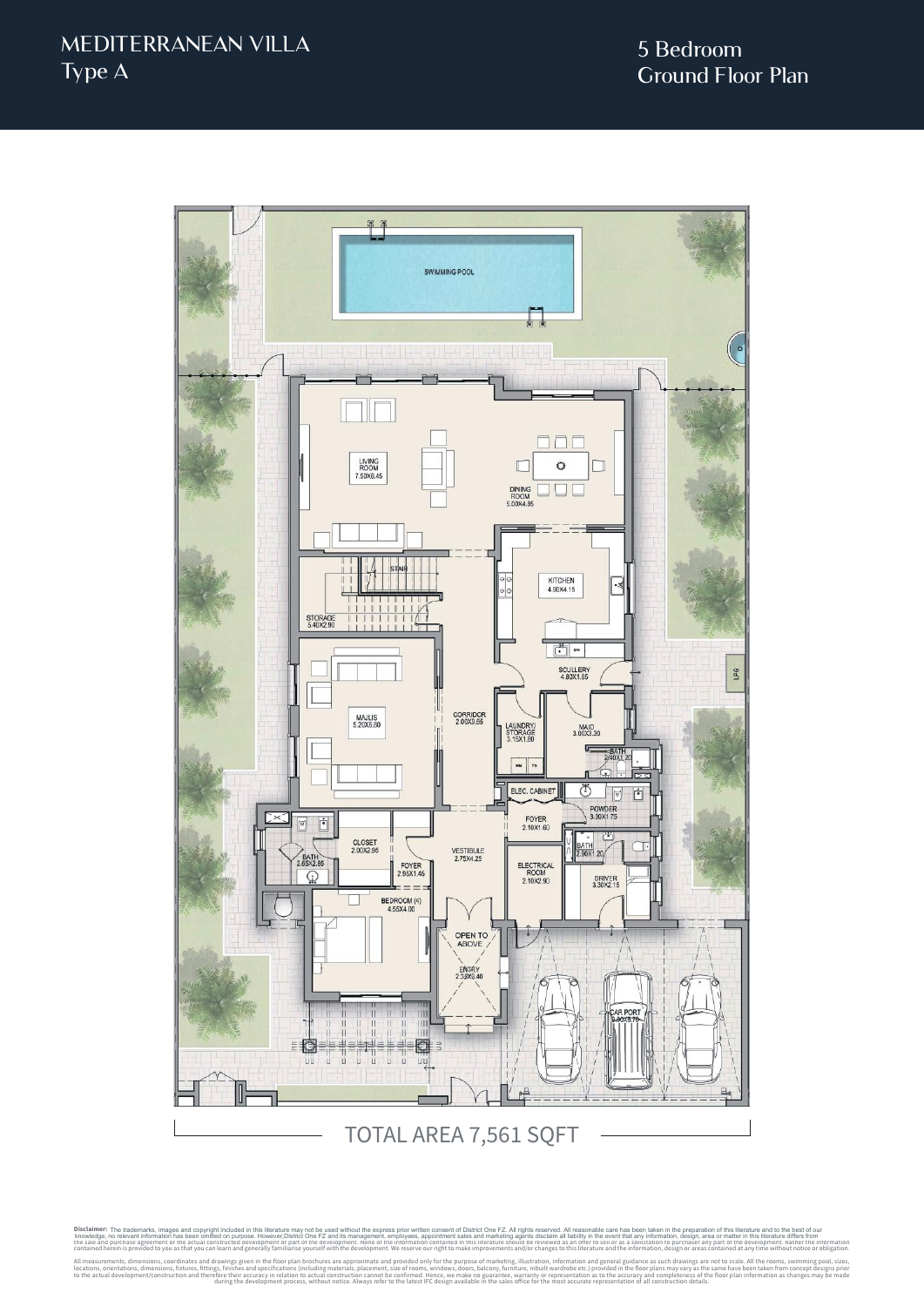

Disclaimer: The trademarks, images and copyright included in this literature may not be used without the express prior written consent of District One FZ. All rights reserved. All reasonable care has been taken in the prep knowledge, no relevant information has been omitted on purpose. However,District One FZ and its management, employees, appointment sales and marketing agents disclaim all liability in the event that any information, design the sale and purchase agreement or the actual constructed development or part of the development. None of the information contained in this literature should be reviewed as an offer to sell or as a solicitation to purchase contained herein is provided to you as that you can learn and generally familiarise yourself with the development. We reserve our right to make improvements and/or changes to this literature and the information, design or All measurements, dimensions, coordinates and drawings given in the floor plan brochures are approximate and provided only for the purpose of marketing, illustration, information and general guidance as such drawings are n locations, orientations, dimensions, fixtures, fittings, finishes and specifications (including materials, placement, size of rooms, windows, doors, balcony, furniture, inbuilt wardrobe etc.) provided in the floor plans ma to the actual development/construction and therefore their accuracy in relation to actual construction cannot be confirmed. Hence, we make no guarantee, warranty or representation as to the accuracy and completeness of the during the development process, without notice. Always refer to the latest IFC design available in the sales office for the most accurate representation of all construction details. The trademarks, images and copyright included in this literature may not be used without the express prior written consent of District One FZ. All rights reserved. All reasonable care has been taken in the preparation of t knowledge, no relevant information has been omitted on purpose. However,District One FZ and its management, employees, appointment sales and marketing agents disclaim all liability in the event that any information, design